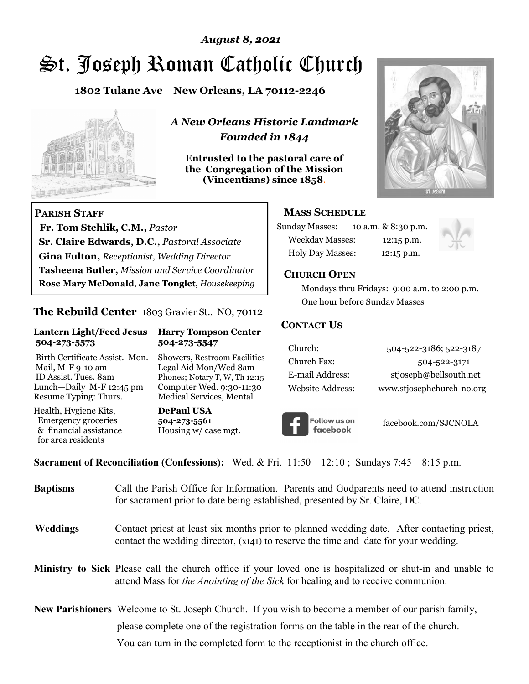# St. Joseph Roman Catholic Church *August 8, 2021*

**1802 Tulane Ave New Orleans, LA 70112-2246**



 **Fr. Tom Stehlik, C.M.,** *Pastor* 

**Sr. Claire Edwards, D.C.,** *Pastoral Associate* **Gina Fulton,** *Receptionist, Wedding Director* 

**Tasheena Butler,** *Mission and Service Coordinator* **Rose Mary McDonald**, **Jane Tonglet**, *Housekeeping*

**The Rebuild Center** 1803 Gravier St., NO, 70112

**Lantern Light/Feed Jesus Harry Tompson Center** 

Birth Certificate Assist. Mon. Showers, Restroom Facilities Mail, M-F 9-10 am Legal Aid Mon/Wed 8am ID Assist. Tues. 8am Phones; Notary T, W, Th 12:15 Lunch—Daily M-F 12:45 pm Computer Wed. 9:30-11:30 Resume Typing: Thurs. Medical Services, Mental

 **504-273-5573 504-273-5547** 

Health, Hygiene Kits, **DePaul USA**  Emergency groceries **504-273-5561**

& financial assistance Housing w/ case mgt.

**PARISH STAFF**

for area residents

*A New Orleans Historic Landmark Founded in 1844* 

**Entrusted to the pastoral care of the Congregation of the Mission (Vincentians) since 1858**.



#### **MASS SCHEDULE**

| <b>Sunday Masses:</b>  | 10 a.m. & 8:30 p.m. |
|------------------------|---------------------|
| <b>Weekday Masses:</b> | $12:15$ p.m.        |
| Holy Day Masses:       | 12:15 p.m.          |



#### **CHURCH OPEN**

 Mondays thru Fridays: 9:00 a.m. to 2:00 p.m. One hour before Sunday Masses

#### **CONTACT US**

| Church:          | 504-522-3186; 522-3187    |
|------------------|---------------------------|
| Church Fax:      | 504-522-3171              |
| E-mail Address:  | stjoseph@bellsouth.net    |
| Website Address: | www.stjosephchurch-no.org |



facebook.com/SJCNOLA

**Sacrament of Reconciliation (Confessions):** Wed. & Fri. 11:50—12:10 ; Sundays 7:45—8:15 p.m.

| <b>Baptisms</b> | Call the Parish Office for Information. Parents and Godparents need to attend instruction<br>for sacrament prior to date being established, presented by Sr. Claire, DC.                            |
|-----------------|-----------------------------------------------------------------------------------------------------------------------------------------------------------------------------------------------------|
| Weddings        | Contact priest at least six months prior to planned wedding date. After contacting priest,<br>contact the wedding director, (x141) to reserve the time and date for your wedding.                   |
|                 | <b>Ministry to Sick</b> Please call the church office if your loved one is hospitalized or shut-in and unable to<br>attend Mass for the Anointing of the Sick for healing and to receive communion. |
|                 | <b>New Parishioners</b> Welcome to St. Joseph Church. If you wish to become a member of our parish family,                                                                                          |
|                 | please complete one of the registration forms on the table in the rear of the church.                                                                                                               |
|                 | You can turn in the completed form to the reception is the church office.                                                                                                                           |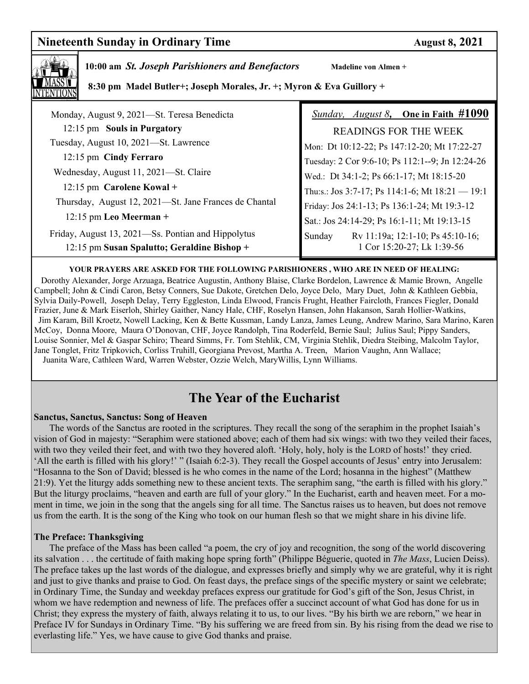## **Nineteenth Sunday in Ordinary Time August 8, 2021**



 **10:00 am** *St. Joseph Parishioners and Benefactors* **Madeline von Almen +** 

 **8:30 pm Madel Butler+; Joseph Morales, Jr. +; Myron & Eva Guillory +** 

| Monday, August 9, 2021-St. Teresa Benedicta                                                       | <i>Sunday, August 8</i> , One in Faith #1090                             |
|---------------------------------------------------------------------------------------------------|--------------------------------------------------------------------------|
| 12:15 pm Souls in Purgatory                                                                       | READINGS FOR THE WEEK                                                    |
| Tuesday, August 10, 2021-St. Lawrence                                                             | Mon: Dt 10:12-22; Ps 147:12-20; Mt 17:22-27                              |
| 12:15 pm Cindy Ferraro                                                                            | Tuesday: 2 Cor 9:6-10; Ps 112:1--9; Jn 12:24-26                          |
| Wednesday, August 11, 2021-St. Claire                                                             | Wed.: Dt 34:1-2; Ps 66:1-17; Mt 18:15-20                                 |
| $12:15$ pm Carolene Kowal +                                                                       | Thu:s.: Jos 3:7-17; Ps 114:1-6; Mt $18:21 - 19:1$                        |
| Thursday, August 12, 2021—St. Jane Frances de Chantal                                             | Friday: Jos 24:1-13; Ps 136:1-24; Mt 19:3-12                             |
| $12:15$ pm Leo Meerman +                                                                          | Sat.: Jos 24:14-29; Ps 16:1-11; Mt 19:13-15                              |
| Friday, August 13, 2021-Ss. Pontian and Hippolytus<br>12:15 pm Susan Spalutto; Geraldine Bishop + | Rv 11:19a; 12:1-10; Ps 45:10-16;<br>Sunday<br>1 Cor 15:20-27; Lk 1:39-56 |

#### **YOUR PRAYERS ARE ASKED FOR THE FOLLOWING PARISHIONERS , WHO ARE IN NEED OF HEALING:**

 Dorothy Alexander, Jorge Arzuaga, Beatrice Augustin, Anthony Blaise, Clarke Bordelon, Lawrence & Mamie Brown, Angelle Campbell; John & Cindi Caron, Betsy Conners, Sue Dakote, Gretchen Delo, Joyce Delo, Mary Duet, John & Kathleen Gebbia, Sylvia Daily-Powell, Joseph Delay, Terry Eggleston, Linda Elwood, Francis Frught, Heather Faircloth, Frances Fiegler, Donald Frazier, June & Mark Eiserloh, Shirley Gaither, Nancy Hale, CHF, Roselyn Hansen, John Hakanson, Sarah Hollier-Watkins, Jim Karam, Bill Kroetz, Nowell Lacking, Ken & Bette Kussman, Landy Lanza, James Leung, Andrew Marino, Sara Marino, Karen McCoy, Donna Moore, Maura O'Donovan, CHF, Joyce Randolph, Tina Roderfeld, Bernie Saul; Julius Saul; Pippy Sanders, Louise Sonnier, Mel & Gaspar Schiro; Theard Simms, Fr. Tom Stehlik, CM, Virginia Stehlik, Diedra Steibing, Malcolm Taylor, Jane Tonglet, Fritz Tripkovich, Corliss Truhill, Georgiana Prevost, Martha A. Treen, Marion Vaughn, Ann Wallace; Juanita Ware, Cathleen Ward, Warren Webster, Ozzie Welch, MaryWillis, Lynn Williams.

# **The Year of the Eucharist**

#### **Sanctus, Sanctus, Sanctus: Song of Heaven**

 The words of the Sanctus are rooted in the scriptures. They recall the song of the seraphim in the prophet Isaiah's vision of God in majesty: "Seraphim were stationed above; each of them had six wings: with two they veiled their faces, with two they veiled their feet, and with two they hovered aloft. 'Holy, holy, holy is the LORD of hosts!' they cried. 'All the earth is filled with his glory!' " (Isaiah 6:2-3). They recall the Gospel accounts of Jesus' entry into Jerusalem: "Hosanna to the Son of David; blessed is he who comes in the name of the Lord; hosanna in the highest" (Matthew 21:9). Yet the liturgy adds something new to these ancient texts. The seraphim sang, "the earth is filled with his glory." But the liturgy proclaims, "heaven and earth are full of your glory." In the Eucharist, earth and heaven meet. For a moment in time, we join in the song that the angels sing for all time. The Sanctus raises us to heaven, but does not remove us from the earth. It is the song of the King who took on our human flesh so that we might share in his divine life.

#### **The Preface: Thanksgiving**

The preface of the Mass has been called "a poem, the cry of joy and recognition, the song of the world discovering its salvation . . . the certitude of faith making hope spring forth" (Philippe Béguerie, quoted in *The Mass*, Lucien Deiss). The preface takes up the last words of the dialogue, and expresses briefly and simply why we are grateful, why it is right and just to give thanks and praise to God. On feast days, the preface sings of the specific mystery or saint we celebrate; in Ordinary Time, the Sunday and weekday prefaces express our gratitude for God's gift of the Son, Jesus Christ, in whom we have redemption and newness of life. The prefaces offer a succinct account of what God has done for us in Christ; they express the mystery of faith, always relating it to us, to our lives. "By his birth we are reborn," we hear in Preface IV for Sundays in Ordinary Time. "By his suffering we are freed from sin. By his rising from the dead we rise to everlasting life." Yes, we have cause to give God thanks and praise.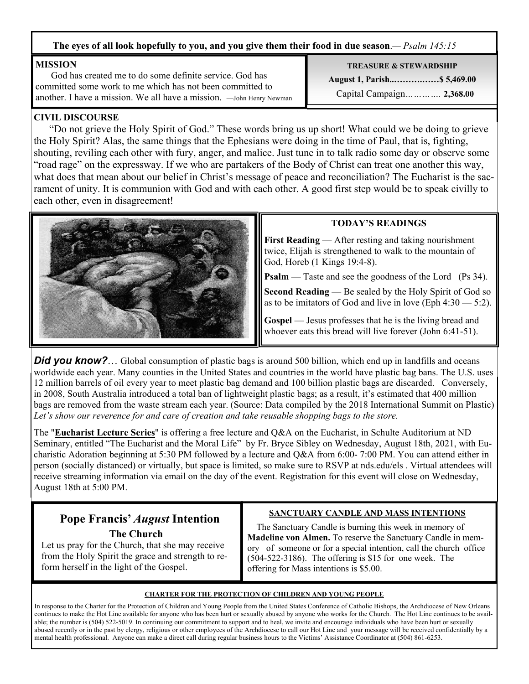#### **The eyes of all look hopefully to you, and you give them their food in due season**.*— Psalm 145:15*

#### **MISSION**

 God has created me to do some definite service. God has committed some work to me which has not been committed to another. I have a mission. We all have a mission. —John Henry Newman

#### **CIVIL DISCOURSE**

 "Do not grieve the Holy Spirit of God." These words bring us up short! What could we be doing to grieve the Holy Spirit? Alas, the same things that the Ephesians were doing in the time of Paul, that is, fighting, shouting, reviling each other with fury, anger, and malice. Just tune in to talk radio some day or observe some "road rage" on the expressway. If we who are partakers of the Body of Christ can treat one another this way, what does that mean about our belief in Christ's message of peace and reconciliation? The Eucharist is the sacrament of unity. It is communion with God and with each other. A good first step would be to speak civilly to each other, even in disagreement!



**Did you know?**… Global consumption of plastic bags is around 500 billion, which end up in landfills and oceans worldwide each year. Many counties in the United States and countries in the world have plastic bag bans. The U.S. uses 12 million barrels of oil every year to meet plastic bag demand and 100 billion plastic bags are discarded. Conversely, in 2008, South Australia introduced a total ban of lightweight plastic bags; as a result, it's estimated that 400 million bags are removed from the waste stream each year. (Source: Data compiled by the 2018 International Summit on Plastic) *Let's show our reverence for and care of creation and take reusable shopping bags to the store.* 

The "**Eucharist Lecture Series**" is offering a free lecture and Q&A on the Eucharist, in Schulte Auditorium at ND Seminary, entitled "The Eucharist and the Moral Life" by Fr. Bryce Sibley on Wednesday, August 18th, 2021, with Eucharistic Adoration beginning at 5:30 PM followed by a lecture and Q&A from 6:00- 7:00 PM. You can attend either in person (socially distanced) or virtually, but space is limited, so make sure to RSVP at nds.edu/els . Virtual attendees will receive streaming information via email on the day of the event. Registration for this event will close on Wednesday, August 18th at 5:00 PM.

# **Pope Francis'** *August* **Intention The Church**

Let us pray for the Church, that she may receive from the Holy Spirit the grace and strength to reform herself in the light of the Gospel.

### **SANCTUARY CANDLE AND MASS INTENTIONS**

 The Sanctuary Candle is burning this week in memory of **Madeline von Almen.** To reserve the Sanctuary Candle in memory of someone or for a special intention, call the church office (504-522-3186). The offering is \$15 for one week. The offering for Mass intentions is \$5.00.

#### **CHARTER FOR THE PROTECTION OF CHILDREN AND YOUNG PEOPLE**

In response to the Charter for the Protection of Children and Young People from the United States Conference of Catholic Bishops, the Archdiocese of New Orleans continues to make the Hot Line available for anyone who has been hurt or sexually abused by anyone who works for the Church. The Hot Line continues to be available; the number is (504) 522-5019. In continuing our commitment to support and to heal, we invite and encourage individuals who have been hurt or sexually abused recently or in the past by clergy, religious or other employees of the Archdiocese to call our Hot Line and your message will be received confidentially by a mental health professional. Anyone can make a direct call during regular business hours to the Victims' Assistance Coordinator at (504) 861-6253.

**TREASURE & STEWARDSHIP August 1, Parish..……….……\$ 5,469.00**  Capital Campaign*………….* **2,368.00**